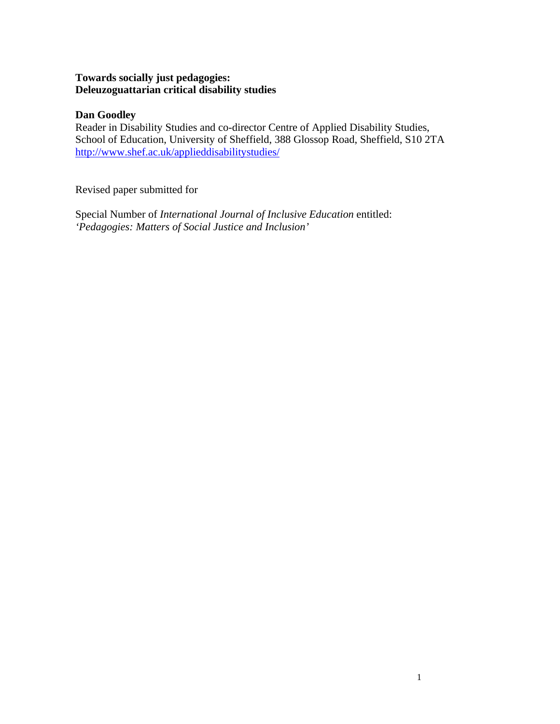# **Towards socially just pedagogies: Deleuzoguattarian critical disability studies**

## **Dan Goodley**

Reader in Disability Studies and co-director Centre of Applied Disability Studies, School of Education, University of Sheffield, 388 Glossop Road, Sheffield, S10 2TA http://www.shef.ac.uk/applieddisabilitystudies/

Revised paper submitted for

Special Number of *International Journal of Inclusive Education* entitled: *'Pedagogies: Matters of Social Justice and Inclusion'*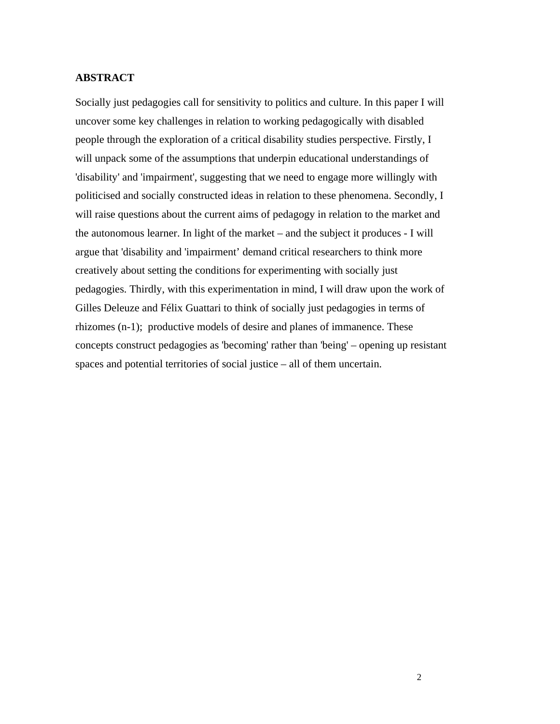### **ABSTRACT**

Socially just pedagogies call for sensitivity to politics and culture. In this paper I will uncover some key challenges in relation to working pedagogically with disabled people through the exploration of a critical disability studies perspective. Firstly, I will unpack some of the assumptions that underpin educational understandings of 'disability' and 'impairment', suggesting that we need to engage more willingly with politicised and socially constructed ideas in relation to these phenomena. Secondly, I will raise questions about the current aims of pedagogy in relation to the market and the autonomous learner. In light of the market – and the subject it produces - I will argue that 'disability and 'impairment' demand critical researchers to think more creatively about setting the conditions for experimenting with socially just pedagogies. Thirdly, with this experimentation in mind, I will draw upon the work of Gilles Deleuze and Félix Guattari to think of socially just pedagogies in terms of rhizomes (n-1); productive models of desire and planes of immanence. These concepts construct pedagogies as 'becoming' rather than 'being' – opening up resistant spaces and potential territories of social justice – all of them uncertain.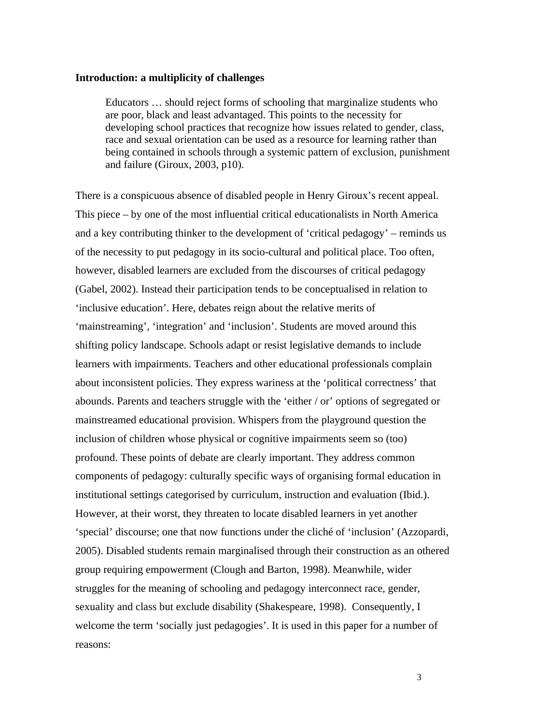#### **Introduction: a multiplicity of challenges**

Educators … should reject forms of schooling that marginalize students who are poor, black and least advantaged. This points to the necessity for developing school practices that recognize how issues related to gender, class, race and sexual orientation can be used as a resource for learning rather than being contained in schools through a systemic pattern of exclusion, punishment and failure (Giroux, 2003, p10).

There is a conspicuous absence of disabled people in Henry Giroux's recent appeal. This piece – by one of the most influential critical educationalists in North America and a key contributing thinker to the development of 'critical pedagogy' – reminds us of the necessity to put pedagogy in its socio-cultural and political place. Too often, however, disabled learners are excluded from the discourses of critical pedagogy (Gabel, 2002). Instead their participation tends to be conceptualised in relation to 'inclusive education'. Here, debates reign about the relative merits of 'mainstreaming', 'integration' and 'inclusion'. Students are moved around this shifting policy landscape. Schools adapt or resist legislative demands to include learners with impairments. Teachers and other educational professionals complain about inconsistent policies. They express wariness at the 'political correctness' that abounds. Parents and teachers struggle with the 'either / or' options of segregated or mainstreamed educational provision. Whispers from the playground question the inclusion of children whose physical or cognitive impairments seem so (too) profound. These points of debate are clearly important. They address common components of pedagogy: culturally specific ways of organising formal education in institutional settings categorised by curriculum, instruction and evaluation (Ibid.). However, at their worst, they threaten to locate disabled learners in yet another 'special' discourse; one that now functions under the cliché of 'inclusion' (Azzopardi, 2005). Disabled students remain marginalised through their construction as an othered group requiring empowerment (Clough and Barton, 1998). Meanwhile, wider struggles for the meaning of schooling and pedagogy interconnect race, gender, sexuality and class but exclude disability (Shakespeare, 1998). Consequently, I welcome the term 'socially just pedagogies'. It is used in this paper for a number of reasons: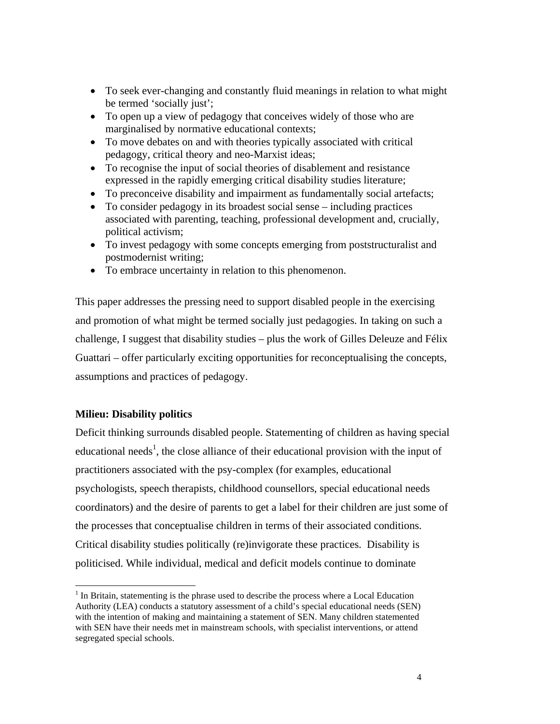- To seek ever-changing and constantly fluid meanings in relation to what might be termed 'socially just';
- To open up a view of pedagogy that conceives widely of those who are marginalised by normative educational contexts;
- To move debates on and with theories typically associated with critical pedagogy, critical theory and neo-Marxist ideas;
- To recognise the input of social theories of disablement and resistance expressed in the rapidly emerging critical disability studies literature;
- To preconceive disability and impairment as fundamentally social artefacts;
- To consider pedagogy in its broadest social sense including practices associated with parenting, teaching, professional development and, crucially, political activism;
- To invest pedagogy with some concepts emerging from poststructuralist and postmodernist writing;
- To embrace uncertainty in relation to this phenomenon.

This paper addresses the pressing need to support disabled people in the exercising and promotion of what might be termed socially just pedagogies. In taking on such a challenge, I suggest that disability studies – plus the work of Gilles Deleuze and Félix Guattari – offer particularly exciting opportunities for reconceptualising the concepts, assumptions and practices of pedagogy.

## **Milieu: Disability politics**

Deficit thinking surrounds disabled people. Statementing of children as having special educational needs<sup>1</sup>, the close alliance of their educational provision with the input of practitioners associated with the psy-complex (for examples, educational psychologists, speech therapists, childhood counsellors, special educational needs coordinators) and the desire of parents to get a label for their children are just some of the processes that conceptualise children in terms of their associated conditions. Critical disability studies politically (re)invigorate these practices. Disability is politicised. While individual, medical and deficit models continue to dominate

 $<sup>1</sup>$  In Britain, statementing is the phrase used to describe the process where a Local Education</sup> Authority (LEA) conducts a statutory assessment of a child's special educational needs (SEN) with the intention of making and maintaining a statement of SEN. Many children statemented with SEN have their needs met in mainstream schools, with specialist interventions, or attend segregated special schools.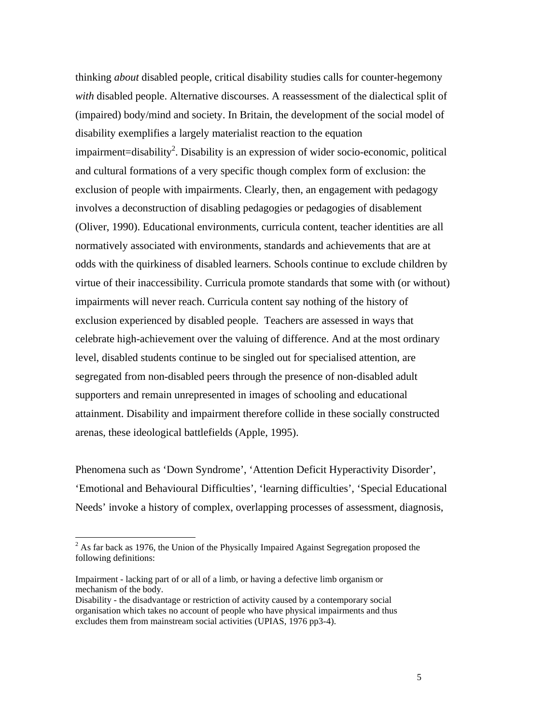thinking *about* disabled people, critical disability studies calls for counter-hegemony *with* disabled people. Alternative discourses. A reassessment of the dialectical split of (impaired) body/mind and society. In Britain, the development of the social model of disability exemplifies a largely materialist reaction to the equation impairment=disability<sup>2</sup>. Disability is an expression of wider socio-economic, political and cultural formations of a very specific though complex form of exclusion: the exclusion of people with impairments. Clearly, then, an engagement with pedagogy involves a deconstruction of disabling pedagogies or pedagogies of disablement (Oliver, 1990). Educational environments, curricula content, teacher identities are all normatively associated with environments, standards and achievements that are at odds with the quirkiness of disabled learners. Schools continue to exclude children by virtue of their inaccessibility. Curricula promote standards that some with (or without) impairments will never reach. Curricula content say nothing of the history of exclusion experienced by disabled people. Teachers are assessed in ways that celebrate high-achievement over the valuing of difference. And at the most ordinary level, disabled students continue to be singled out for specialised attention, are segregated from non-disabled peers through the presence of non-disabled adult supporters and remain unrepresented in images of schooling and educational attainment. Disability and impairment therefore collide in these socially constructed arenas, these ideological battlefields (Apple, 1995).

Phenomena such as 'Down Syndrome', 'Attention Deficit Hyperactivity Disorder', 'Emotional and Behavioural Difficulties', 'learning difficulties', 'Special Educational Needs' invoke a history of complex, overlapping processes of assessment, diagnosis,

 $\overline{a}$ 

 $2^2$  As far back as 1976, the Union of the Physically Impaired Against Segregation proposed the following definitions:

Impairment - lacking part of or all of a limb, or having a defective limb organism or mechanism of the body.

Disability - the disadvantage or restriction of activity caused by a contemporary social organisation which takes no account of people who have physical impairments and thus excludes them from mainstream social activities (UPIAS, 1976 pp3-4).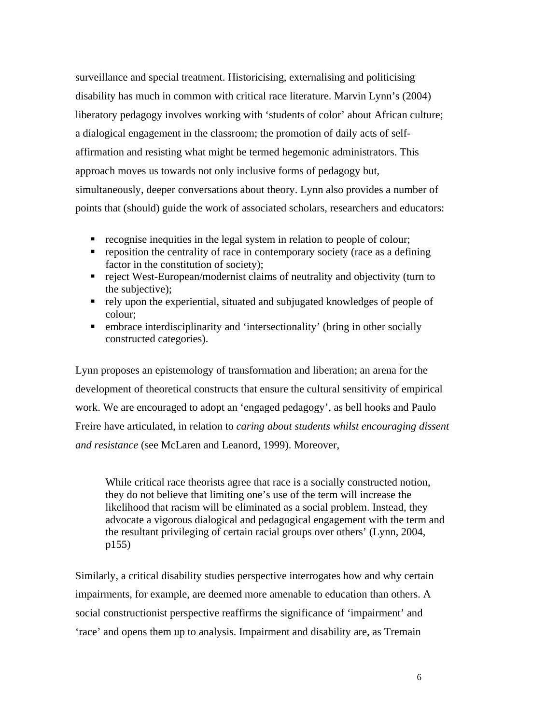surveillance and special treatment. Historicising, externalising and politicising disability has much in common with critical race literature. Marvin Lynn's (2004) liberatory pedagogy involves working with 'students of color' about African culture; a dialogical engagement in the classroom; the promotion of daily acts of selfaffirmation and resisting what might be termed hegemonic administrators. This approach moves us towards not only inclusive forms of pedagogy but, simultaneously, deeper conversations about theory. Lynn also provides a number of points that (should) guide the work of associated scholars, researchers and educators:

- **•** recognise inequities in the legal system in relation to people of colour;
- $\blacksquare$  reposition the centrality of race in contemporary society (race as a defining factor in the constitution of society);
- reject West-European/modernist claims of neutrality and objectivity (turn to the subjective);
- rely upon the experiential, situated and subjugated knowledges of people of colour;
- embrace interdisciplinarity and 'intersectionality' (bring in other socially constructed categories).

Lynn proposes an epistemology of transformation and liberation; an arena for the development of theoretical constructs that ensure the cultural sensitivity of empirical work. We are encouraged to adopt an 'engaged pedagogy', as bell hooks and Paulo Freire have articulated, in relation to *caring about students whilst encouraging dissent and resistance* (see McLaren and Leanord, 1999). Moreover,

While critical race theorists agree that race is a socially constructed notion, they do not believe that limiting one's use of the term will increase the likelihood that racism will be eliminated as a social problem. Instead, they advocate a vigorous dialogical and pedagogical engagement with the term and the resultant privileging of certain racial groups over others' (Lynn, 2004, p155)

Similarly, a critical disability studies perspective interrogates how and why certain impairments, for example, are deemed more amenable to education than others. A social constructionist perspective reaffirms the significance of 'impairment' and 'race' and opens them up to analysis. Impairment and disability are, as Tremain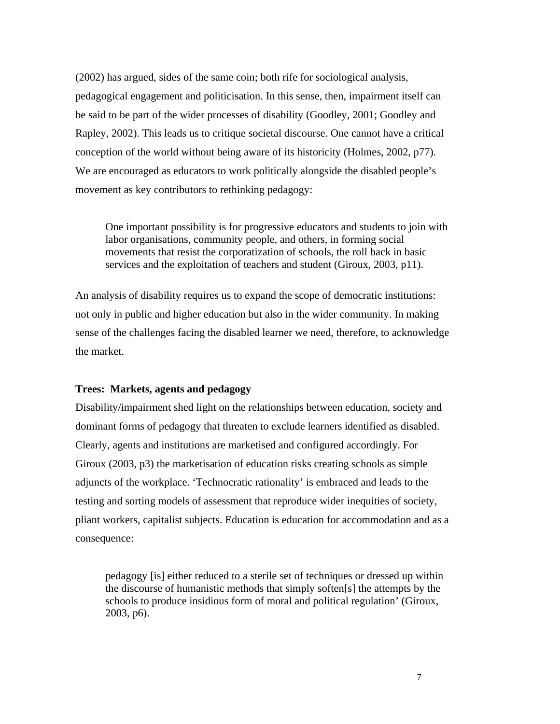(2002) has argued, sides of the same coin; both rife for sociological analysis, pedagogical engagement and politicisation. In this sense, then, impairment itself can be said to be part of the wider processes of disability (Goodley, 2001; Goodley and Rapley, 2002). This leads us to critique societal discourse. One cannot have a critical conception of the world without being aware of its historicity (Holmes, 2002, p77). We are encouraged as educators to work politically alongside the disabled people's movement as key contributors to rethinking pedagogy:

One important possibility is for progressive educators and students to join with labor organisations, community people, and others, in forming social movements that resist the corporatization of schools, the roll back in basic services and the exploitation of teachers and student (Giroux, 2003, p11).

An analysis of disability requires us to expand the scope of democratic institutions: not only in public and higher education but also in the wider community. In making sense of the challenges facing the disabled learner we need, therefore, to acknowledge the market.

### **Trees: Markets, agents and pedagogy**

Disability/impairment shed light on the relationships between education, society and dominant forms of pedagogy that threaten to exclude learners identified as disabled. Clearly, agents and institutions are marketised and configured accordingly. For Giroux (2003, p3) the marketisation of education risks creating schools as simple adjuncts of the workplace. 'Technocratic rationality' is embraced and leads to the testing and sorting models of assessment that reproduce wider inequities of society, pliant workers, capitalist subjects. Education is education for accommodation and as a consequence:

pedagogy [is] either reduced to a sterile set of techniques or dressed up within the discourse of humanistic methods that simply soften[s] the attempts by the schools to produce insidious form of moral and political regulation' (Giroux, 2003, p6).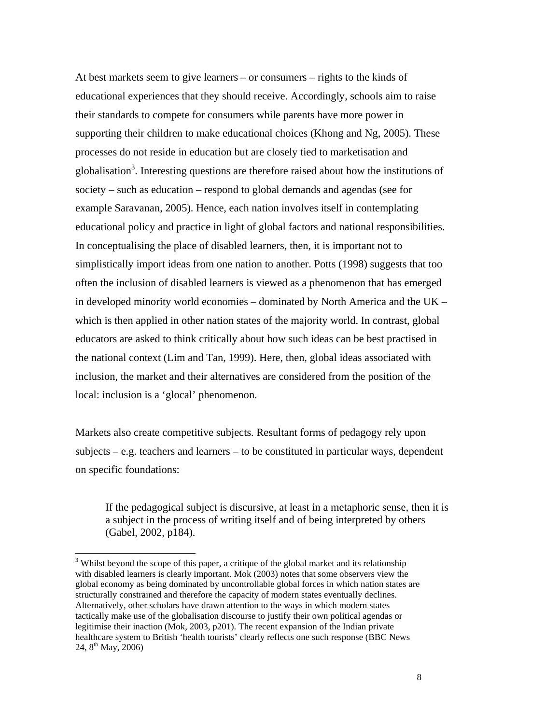At best markets seem to give learners – or consumers – rights to the kinds of educational experiences that they should receive. Accordingly, schools aim to raise their standards to compete for consumers while parents have more power in supporting their children to make educational choices (Khong and Ng, 2005). These processes do not reside in education but are closely tied to marketisation and globalisation<sup>3</sup>. Interesting questions are therefore raised about how the institutions of society – such as education – respond to global demands and agendas (see for example Saravanan, 2005). Hence, each nation involves itself in contemplating educational policy and practice in light of global factors and national responsibilities. In conceptualising the place of disabled learners, then, it is important not to simplistically import ideas from one nation to another. Potts (1998) suggests that too often the inclusion of disabled learners is viewed as a phenomenon that has emerged in developed minority world economies – dominated by North America and the UK – which is then applied in other nation states of the majority world. In contrast, global educators are asked to think critically about how such ideas can be best practised in the national context (Lim and Tan, 1999). Here, then, global ideas associated with inclusion, the market and their alternatives are considered from the position of the local: inclusion is a 'glocal' phenomenon.

Markets also create competitive subjects. Resultant forms of pedagogy rely upon subjects  $-e.g.$  teachers and learners  $-e$  to be constituted in particular ways, dependent on specific foundations:

If the pedagogical subject is discursive, at least in a metaphoric sense, then it is a subject in the process of writing itself and of being interpreted by others (Gabel, 2002, p184).

 $\overline{a}$ 

<sup>&</sup>lt;sup>3</sup> Whilst beyond the scope of this paper, a critique of the global market and its relationship with disabled learners is clearly important. Mok (2003) notes that some observers view the global economy as being dominated by uncontrollable global forces in which nation states are structurally constrained and therefore the capacity of modern states eventually declines. Alternatively, other scholars have drawn attention to the ways in which modern states tactically make use of the globalisation discourse to justify their own political agendas or legitimise their inaction (Mok, 2003, p201). The recent expansion of the Indian private healthcare system to British 'health tourists' clearly reflects one such response (BBC News 24,  $8^{\text{th}}$  May, 2006)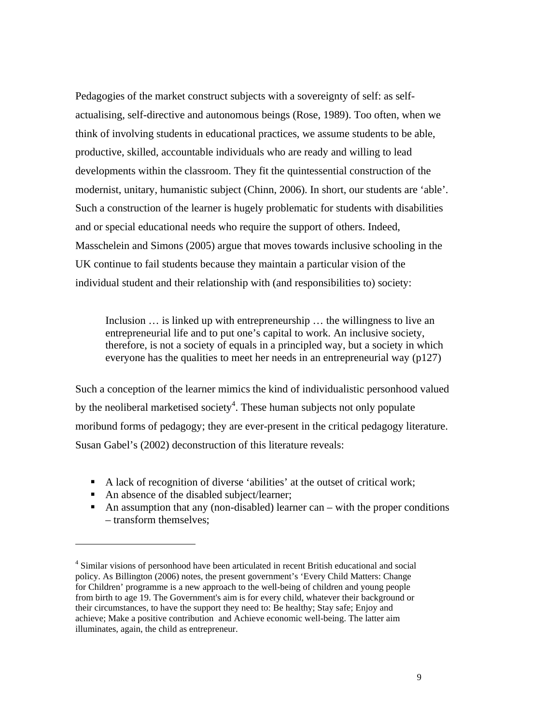Pedagogies of the market construct subjects with a sovereignty of self: as selfactualising, self-directive and autonomous beings (Rose, 1989). Too often, when we think of involving students in educational practices, we assume students to be able, productive, skilled, accountable individuals who are ready and willing to lead developments within the classroom. They fit the quintessential construction of the modernist, unitary, humanistic subject (Chinn, 2006). In short, our students are 'able'. Such a construction of the learner is hugely problematic for students with disabilities and or special educational needs who require the support of others. Indeed, Masschelein and Simons (2005) argue that moves towards inclusive schooling in the UK continue to fail students because they maintain a particular vision of the individual student and their relationship with (and responsibilities to) society:

Inclusion … is linked up with entrepreneurship … the willingness to live an entrepreneurial life and to put one's capital to work. An inclusive society, therefore, is not a society of equals in a principled way, but a society in which everyone has the qualities to meet her needs in an entrepreneurial way (p127)

Such a conception of the learner mimics the kind of individualistic personhood valued by the neoliberal marketised society<sup>4</sup>. These human subjects not only populate moribund forms of pedagogy; they are ever-present in the critical pedagogy literature. Susan Gabel's (2002) deconstruction of this literature reveals:

- A lack of recognition of diverse 'abilities' at the outset of critical work;
- An absence of the disabled subject/learner;

An assumption that any (non-disabled) learner can – with the proper conditions – transform themselves;

<sup>&</sup>lt;sup>4</sup> Similar visions of personhood have been articulated in recent British educational and social policy. As Billington (2006) notes, the present government's 'Every Child Matters: Change for Children' programme is a new approach to the well-being of children and young people from birth to age 19. The Government's aim is for every child, whatever their background or their circumstances, to have the support they need to: Be healthy; Stay safe; Enjoy and achieve; Make a positive contribution and Achieve economic well-being. The latter aim illuminates, again, the child as entrepreneur.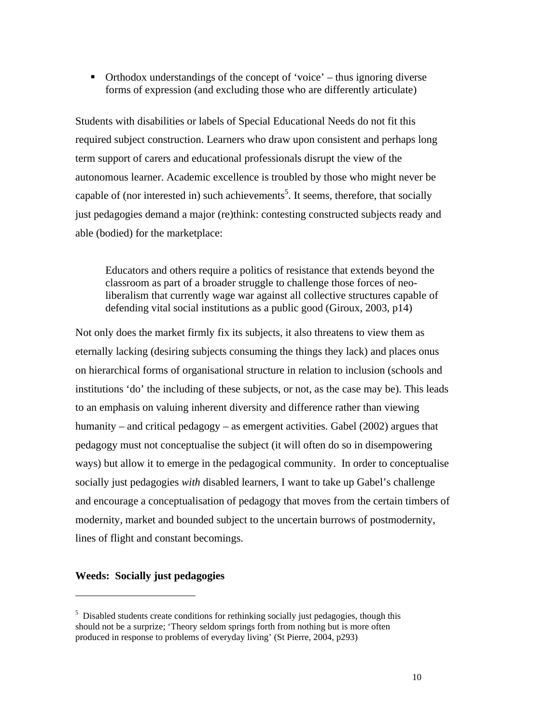• Orthodox understandings of the concept of 'voice' – thus ignoring diverse forms of expression (and excluding those who are differently articulate)

Students with disabilities or labels of Special Educational Needs do not fit this required subject construction. Learners who draw upon consistent and perhaps long term support of carers and educational professionals disrupt the view of the autonomous learner. Academic excellence is troubled by those who might never be capable of (nor interested in) such achievements<sup>5</sup>. It seems, therefore, that socially just pedagogies demand a major (re)think: contesting constructed subjects ready and able (bodied) for the marketplace:

Educators and others require a politics of resistance that extends beyond the classroom as part of a broader struggle to challenge those forces of neoliberalism that currently wage war against all collective structures capable of defending vital social institutions as a public good (Giroux, 2003, p14)

Not only does the market firmly fix its subjects, it also threatens to view them as eternally lacking (desiring subjects consuming the things they lack) and places onus on hierarchical forms of organisational structure in relation to inclusion (schools and institutions 'do' the including of these subjects, or not, as the case may be). This leads to an emphasis on valuing inherent diversity and difference rather than viewing humanity – and critical pedagogy – as emergent activities. Gabel (2002) argues that pedagogy must not conceptualise the subject (it will often do so in disempowering ways) but allow it to emerge in the pedagogical community. In order to conceptualise socially just pedagogies *with* disabled learners, I want to take up Gabel's challenge and encourage a conceptualisation of pedagogy that moves from the certain timbers of modernity, market and bounded subject to the uncertain burrows of postmodernity, lines of flight and constant becomings.

### **Weeds: Socially just pedagogies**

 $<sup>5</sup>$  Disabled students create conditions for rethinking socially just pedagogies, though this</sup> should not be a surprize; 'Theory seldom springs forth from nothing but is more often produced in response to problems of everyday living' (St Pierre, 2004, p293)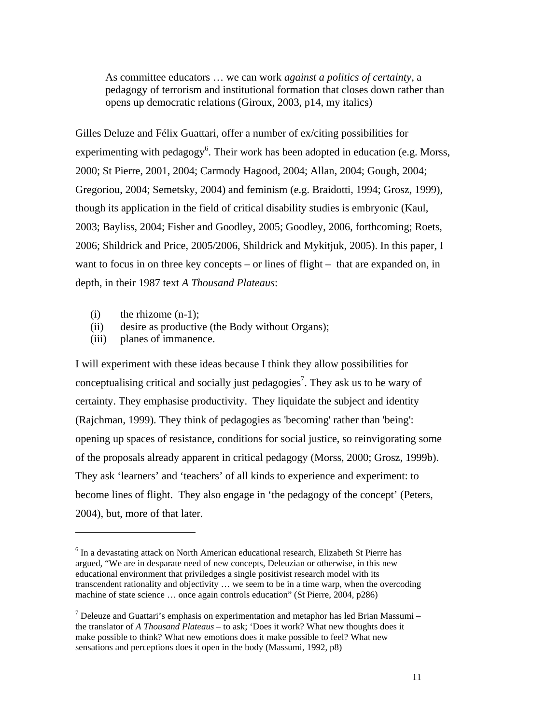As committee educators … we can work *against a politics of certainty*, a pedagogy of terrorism and institutional formation that closes down rather than opens up democratic relations (Giroux, 2003, p14, my italics)

Gilles Deluze and Félix Guattari, offer a number of ex/citing possibilities for experimenting with pedagogy<sup>6</sup>. Their work has been adopted in education (e.g. Morss, 2000; St Pierre, 2001, 2004; Carmody Hagood, 2004; Allan, 2004; Gough, 2004; Gregoriou, 2004; Semetsky, 2004) and feminism (e.g. Braidotti, 1994; Grosz, 1999), though its application in the field of critical disability studies is embryonic (Kaul, 2003; Bayliss, 2004; Fisher and Goodley, 2005; Goodley, 2006, forthcoming; Roets, 2006; Shildrick and Price, 2005/2006, Shildrick and Mykitjuk, 2005). In this paper, I want to focus in on three key concepts – or lines of flight – that are expanded on, in depth, in their 1987 text *A Thousand Plateaus*:

 $(i)$  the rhizome  $(n-1)$ ;

- (ii) desire as productive (the Body without Organs);
- (iii) planes of immanence.

I will experiment with these ideas because I think they allow possibilities for conceptualising critical and socially just pedagogies<sup>7</sup>. They ask us to be wary of certainty. They emphasise productivity. They liquidate the subject and identity (Rajchman, 1999). They think of pedagogies as 'becoming' rather than 'being': opening up spaces of resistance, conditions for social justice, so reinvigorating some of the proposals already apparent in critical pedagogy (Morss, 2000; Grosz, 1999b). They ask 'learners' and 'teachers' of all kinds to experience and experiment: to become lines of flight. They also engage in 'the pedagogy of the concept' (Peters, 2004), but, more of that later.

<sup>&</sup>lt;sup>6</sup> In a devastating attack on North American educational research, Elizabeth St Pierre has argued, "We are in desparate need of new concepts, Deleuzian or otherwise, in this new educational environment that priviledges a single positivist research model with its transcendent rationality and objectivity … we seem to be in a time warp, when the overcoding machine of state science … once again controls education" (St Pierre, 2004, p286)

<sup>&</sup>lt;sup>7</sup> Deleuze and Guattari's emphasis on experimentation and metaphor has led Brian Massumi – the translator of *A Thousand Plateaus* – to ask; 'Does it work? What new thoughts does it make possible to think? What new emotions does it make possible to feel? What new sensations and perceptions does it open in the body (Massumi, 1992, p8)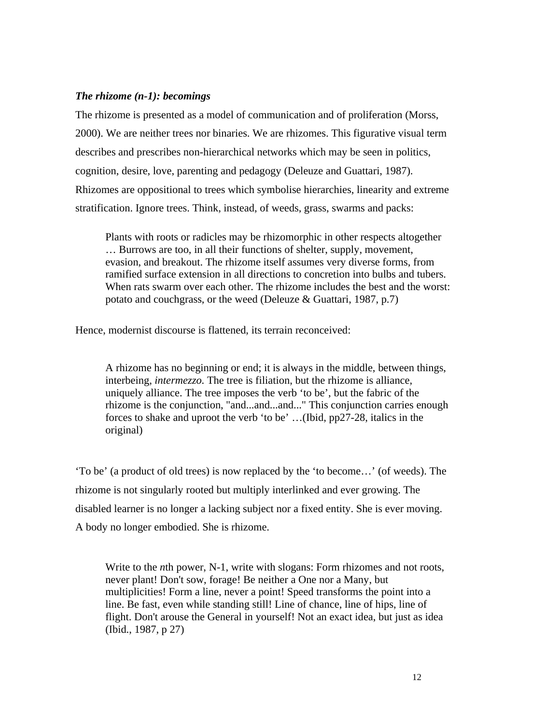#### *The rhizome (n-1): becomings*

The rhizome is presented as a model of communication and of proliferation (Morss, 2000). We are neither trees nor binaries. We are rhizomes. This figurative visual term describes and prescribes non-hierarchical networks which may be seen in politics, cognition, desire, love, parenting and pedagogy (Deleuze and Guattari, 1987). Rhizomes are oppositional to trees which symbolise hierarchies, linearity and extreme stratification. Ignore trees. Think, instead, of weeds, grass, swarms and packs:

Plants with roots or radicles may be rhizomorphic in other respects altogether … Burrows are too, in all their functions of shelter, supply, movement, evasion, and breakout. The rhizome itself assumes very diverse forms, from ramified surface extension in all directions to concretion into bulbs and tubers. When rats swarm over each other. The rhizome includes the best and the worst: potato and couchgrass, or the weed (Deleuze & Guattari, 1987, p.7)

Hence, modernist discourse is flattened, its terrain reconceived:

A rhizome has no beginning or end; it is always in the middle, between things, interbeing, *intermezzo*. The tree is filiation, but the rhizome is alliance, uniquely alliance. The tree imposes the verb 'to be', but the fabric of the rhizome is the conjunction, "and...and...and..." This conjunction carries enough forces to shake and uproot the verb 'to be' …(Ibid, pp27-28, italics in the original)

'To be' (a product of old trees) is now replaced by the 'to become…' (of weeds). The rhizome is not singularly rooted but multiply interlinked and ever growing. The disabled learner is no longer a lacking subject nor a fixed entity. She is ever moving. A body no longer embodied. She is rhizome.

Write to the *n*th power, N-1, write with slogans: Form rhizomes and not roots, never plant! Don't sow, forage! Be neither a One nor a Many, but multiplicities! Form a line, never a point! Speed transforms the point into a line. Be fast, even while standing still! Line of chance, line of hips, line of flight. Don't arouse the General in yourself! Not an exact idea, but just as idea (Ibid., 1987, p 27)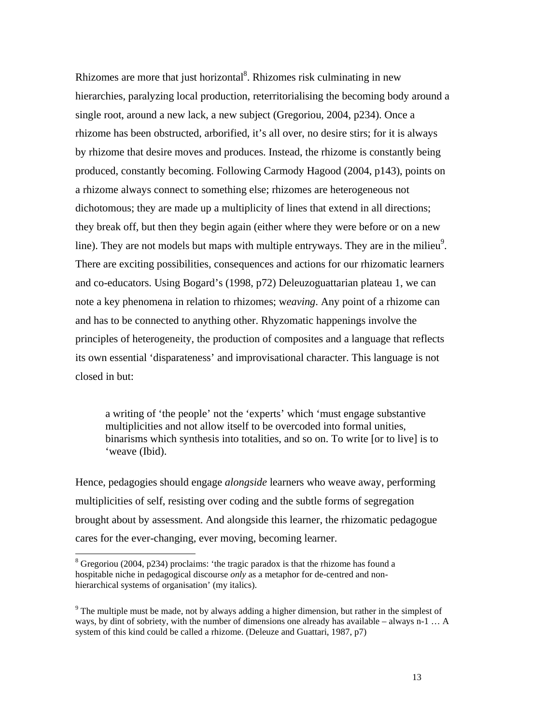Rhizomes are more that just horizontal<sup>8</sup>. Rhizomes risk culminating in new hierarchies, paralyzing local production, reterritorialising the becoming body around a single root, around a new lack, a new subject (Gregoriou, 2004, p234). Once a rhizome has been obstructed, arborified, it's all over, no desire stirs; for it is always by rhizome that desire moves and produces. Instead, the rhizome is constantly being produced, constantly becoming. Following Carmody Hagood (2004, p143), points on a rhizome always connect to something else; rhizomes are heterogeneous not dichotomous; they are made up a multiplicity of lines that extend in all directions; they break off, but then they begin again (either where they were before or on a new line). They are not models but maps with multiple entryways. They are in the milieu<sup>9</sup>. There are exciting possibilities, consequences and actions for our rhizomatic learners and co-educators. Using Bogard's (1998, p72) Deleuzoguattarian plateau 1, we can note a key phenomena in relation to rhizomes; w*eaving*. Any point of a rhizome can and has to be connected to anything other. Rhyzomatic happenings involve the principles of heterogeneity, the production of composites and a language that reflects its own essential 'disparateness' and improvisational character. This language is not closed in but:

a writing of 'the people' not the 'experts' which 'must engage substantive multiplicities and not allow itself to be overcoded into formal unities, binarisms which synthesis into totalities, and so on. To write [or to live] is to 'weave (Ibid).

Hence, pedagogies should engage *alongside* learners who weave away, performing multiplicities of self, resisting over coding and the subtle forms of segregation brought about by assessment. And alongside this learner, the rhizomatic pedagogue cares for the ever-changing, ever moving, becoming learner.

 $8$  Gregoriou (2004, p234) proclaims: 'the tragic paradox is that the rhizome has found a hospitable niche in pedagogical discourse *only* as a metaphor for de-centred and nonhierarchical systems of organisation' (my italics).

 $9$  The multiple must be made, not by always adding a higher dimension, but rather in the simplest of ways, by dint of sobriety, with the number of dimensions one already has available – always n-1 … A system of this kind could be called a rhizome. (Deleuze and Guattari, 1987, p7)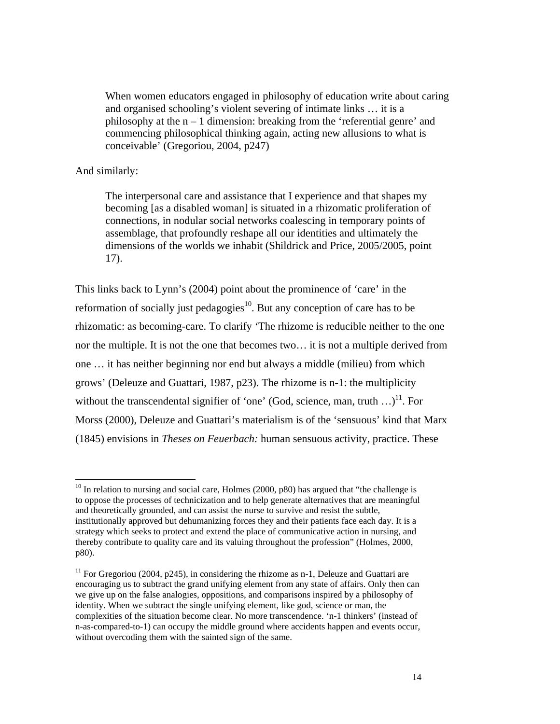When women educators engaged in philosophy of education write about caring and organised schooling's violent severing of intimate links … it is a philosophy at the  $n - 1$  dimension: breaking from the 'referential genre' and commencing philosophical thinking again, acting new allusions to what is conceivable' (Gregoriou, 2004, p247)

### And similarly:

 $\overline{a}$ 

The interpersonal care and assistance that I experience and that shapes my becoming [as a disabled woman] is situated in a rhizomatic proliferation of connections, in nodular social networks coalescing in temporary points of assemblage, that profoundly reshape all our identities and ultimately the dimensions of the worlds we inhabit (Shildrick and Price, 2005/2005, point 17).

This links back to Lynn's (2004) point about the prominence of 'care' in the reformation of socially just pedagogies<sup>10</sup>. But any conception of care has to be rhizomatic: as becoming-care. To clarify 'The rhizome is reducible neither to the one nor the multiple. It is not the one that becomes two… it is not a multiple derived from one … it has neither beginning nor end but always a middle (milieu) from which grows' (Deleuze and Guattari, 1987, p23). The rhizome is n-1: the multiplicity without the transcendental signifier of 'one' (God, science, man, truth  $\ldots$ )<sup>11</sup>. For Morss (2000), Deleuze and Guattari's materialism is of the 'sensuous' kind that Marx (1845) envisions in *Theses on Feuerbach:* human sensuous activity, practice. These

 $10$  In relation to nursing and social care, Holmes (2000, p80) has argued that "the challenge is to oppose the processes of technicization and to help generate alternatives that are meaningful and theoretically grounded, and can assist the nurse to survive and resist the subtle, institutionally approved but dehumanizing forces they and their patients face each day. It is a strategy which seeks to protect and extend the place of communicative action in nursing, and thereby contribute to quality care and its valuing throughout the profession" (Holmes, 2000, p80).

<sup>&</sup>lt;sup>11</sup> For Gregoriou (2004, p245), in considering the rhizome as n-1, Deleuze and Guattari are encouraging us to subtract the grand unifying element from any state of affairs. Only then can we give up on the false analogies, oppositions, and comparisons inspired by a philosophy of identity. When we subtract the single unifying element, like god, science or man, the complexities of the situation become clear. No more transcendence. 'n-1 thinkers' (instead of n-as-compared-to-1) can occupy the middle ground where accidents happen and events occur, without overcoding them with the sainted sign of the same.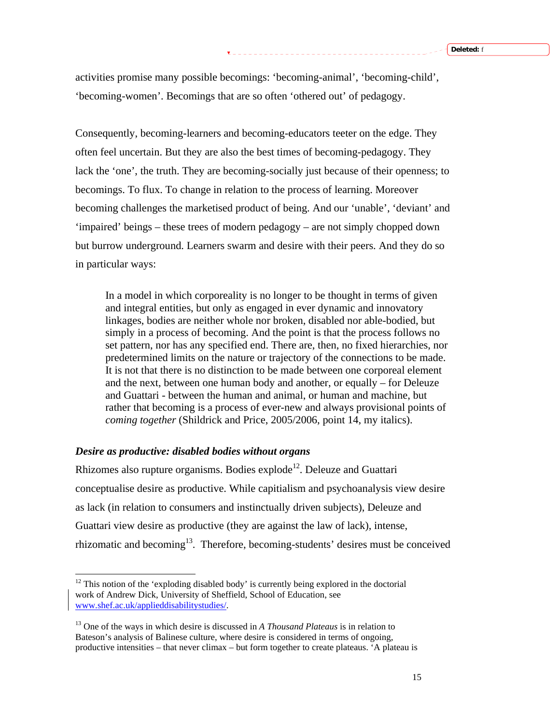activities promise many possible becomings: 'becoming-animal', 'becoming-child', 'becoming-women'. Becomings that are so often 'othered out' of pedagogy.

Consequently, becoming-learners and becoming-educators teeter on the edge. They often feel uncertain. But they are also the best times of becoming-pedagogy. They lack the 'one', the truth. They are becoming-socially just because of their openness; to becomings. To flux. To change in relation to the process of learning. Moreover becoming challenges the marketised product of being. And our 'unable', 'deviant' and 'impaired' beings – these trees of modern pedagogy – are not simply chopped down but burrow underground. Learners swarm and desire with their peers. And they do so in particular ways:

In a model in which corporeality is no longer to be thought in terms of given and integral entities, but only as engaged in ever dynamic and innovatory linkages, bodies are neither whole nor broken, disabled nor able-bodied, but simply in a process of becoming. And the point is that the process follows no set pattern, nor has any specified end. There are, then, no fixed hierarchies, nor predetermined limits on the nature or trajectory of the connections to be made. It is not that there is no distinction to be made between one corporeal element and the next, between one human body and another, or equally – for Deleuze and Guattari - between the human and animal, or human and machine, but rather that becoming is a process of ever-new and always provisional points of *coming together* (Shildrick and Price, 2005/2006, point 14, my italics).

### *Desire as productive: disabled bodies without organs*

Rhizomes also rupture organisms. Bodies explode<sup>12</sup>. Deleuze and Guattari conceptualise desire as productive. While capitialism and psychoanalysis view desire as lack (in relation to consumers and instinctually driven subjects), Deleuze and Guattari view desire as productive (they are against the law of lack), intense, rhizomatic and becoming<sup>13</sup>. Therefore, becoming-students' desires must be conceived

 $12$  This notion of the 'exploding disabled body' is currently being explored in the doctorial work of Andrew Dick, University of Sheffield, School of Education, see www.shef.ac.uk/applieddisabilitystudies/.

<sup>13</sup> One of the ways in which desire is discussed in *A Thousand Plateaus* is in relation to Bateson's analysis of Balinese culture, where desire is considered in terms of ongoing, productive intensities – that never climax – but form together to create plateaus. 'A plateau is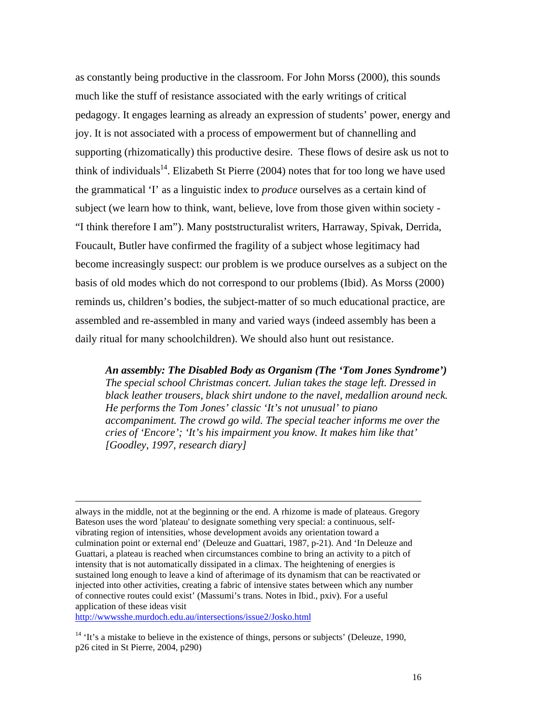as constantly being productive in the classroom. For John Morss (2000), this sounds much like the stuff of resistance associated with the early writings of critical pedagogy. It engages learning as already an expression of students' power, energy and joy. It is not associated with a process of empowerment but of channelling and supporting (rhizomatically) this productive desire. These flows of desire ask us not to think of individuals<sup>14</sup>. Elizabeth St Pierre  $(2004)$  notes that for too long we have used the grammatical 'I' as a linguistic index to *produce* ourselves as a certain kind of subject (we learn how to think, want, believe, love from those given within society - "I think therefore I am"). Many poststructuralist writers, Harraway, Spivak, Derrida, Foucault, Butler have confirmed the fragility of a subject whose legitimacy had become increasingly suspect: our problem is we produce ourselves as a subject on the basis of old modes which do not correspond to our problems (Ibid). As Morss (2000) reminds us, children's bodies, the subject-matter of so much educational practice, are assembled and re-assembled in many and varied ways (indeed assembly has been a daily ritual for many schoolchildren). We should also hunt out resistance.

*An assembly: The Disabled Body as Organism (The 'Tom Jones Syndrome') The special school Christmas concert. Julian takes the stage left. Dressed in black leather trousers, black shirt undone to the navel, medallion around neck. He performs the Tom Jones' classic 'It's not unusual' to piano accompaniment. The crowd go wild. The special teacher informs me over the cries of 'Encore'; 'It's his impairment you know. It makes him like that' [Goodley, 1997, research diary]* 

always in the middle, not at the beginning or the end. A rhizome is made of plateaus. Gregory Bateson uses the word 'plateau' to designate something very special: a continuous, selfvibrating region of intensities, whose development avoids any orientation toward a culmination point or external end' (Deleuze and Guattari, 1987, p-21). And 'In Deleuze and Guattari, a plateau is reached when circumstances combine to bring an activity to a pitch of intensity that is not automatically dissipated in a climax. The heightening of energies is sustained long enough to leave a kind of afterimage of its dynamism that can be reactivated or injected into other activities, creating a fabric of intensive states between which any number of connective routes could exist' (Massumi's trans. Notes in Ibid., pxiv). For a useful application of these ideas visit

http://wwwsshe.murdoch.edu.au/intersections/issue2/Josko.html

 $14$  'It's a mistake to believe in the existence of things, persons or subjects' (Deleuze, 1990, p26 cited in St Pierre, 2004, p290)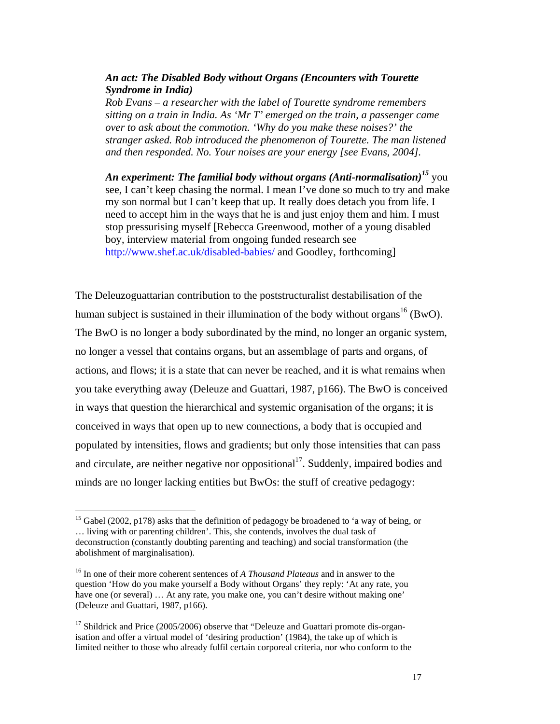## *An act: The Disabled Body without Organs (Encounters with Tourette Syndrome in India)*

*Rob Evans – a researcher with the label of Tourette syndrome remembers sitting on a train in India. As 'Mr T' emerged on the train, a passenger came over to ask about the commotion. 'Why do you make these noises?' the stranger asked. Rob introduced the phenomenon of Tourette. The man listened and then responded. No. Your noises are your energy [see Evans, 2004].* 

*An experiment: The familial body without organs (Anti-normalisation)<sup>15</sup>* you see, I can't keep chasing the normal. I mean I've done so much to try and make my son normal but I can't keep that up. It really does detach you from life. I need to accept him in the ways that he is and just enjoy them and him. I must stop pressurising myself [Rebecca Greenwood, mother of a young disabled boy, interview material from ongoing funded research see http://www.shef.ac.uk/disabled-babies/ and Goodley, forthcoming]

The Deleuzoguattarian contribution to the poststructuralist destabilisation of the human subject is sustained in their illumination of the body without organs<sup>16</sup> (BwO). The BwO is no longer a body subordinated by the mind, no longer an organic system, no longer a vessel that contains organs, but an assemblage of parts and organs, of actions, and flows; it is a state that can never be reached, and it is what remains when you take everything away (Deleuze and Guattari, 1987, p166). The BwO is conceived in ways that question the hierarchical and systemic organisation of the organs; it is conceived in ways that open up to new connections, a body that is occupied and populated by intensities, flows and gradients; but only those intensities that can pass and circulate, are neither negative nor oppositional<sup>17</sup>. Suddenly, impaired bodies and minds are no longer lacking entities but BwOs: the stuff of creative pedagogy:

<sup>&</sup>lt;sup>15</sup> Gabel (2002, p178) asks that the definition of pedagogy be broadened to 'a way of being, or … living with or parenting children'. This, she contends, involves the dual task of deconstruction (constantly doubting parenting and teaching) and social transformation (the abolishment of marginalisation).

<sup>16</sup> In one of their more coherent sentences of *A Thousand Plateaus* and in answer to the question 'How do you make yourself a Body without Organs' they reply: 'At any rate, you have one (or several) ... At any rate, you make one, you can't desire without making one' (Deleuze and Guattari, 1987, p166).

 $17$  Shildrick and Price (2005/2006) observe that "Deleuze and Guattari promote dis-organisation and offer a virtual model of 'desiring production' (1984), the take up of which is limited neither to those who already fulfil certain corporeal criteria, nor who conform to the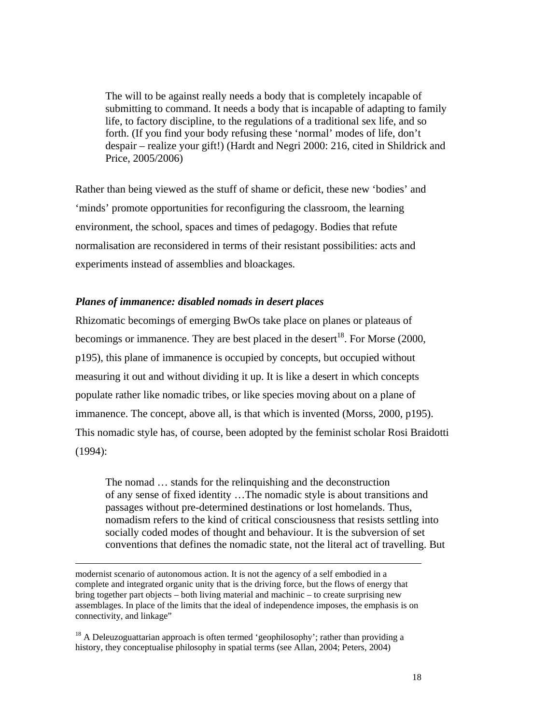The will to be against really needs a body that is completely incapable of submitting to command. It needs a body that is incapable of adapting to family life, to factory discipline, to the regulations of a traditional sex life, and so forth. (If you find your body refusing these 'normal' modes of life, don't despair – realize your gift!) (Hardt and Negri 2000: 216, cited in Shildrick and Price, 2005/2006)

Rather than being viewed as the stuff of shame or deficit, these new 'bodies' and 'minds' promote opportunities for reconfiguring the classroom, the learning environment, the school, spaces and times of pedagogy. Bodies that refute normalisation are reconsidered in terms of their resistant possibilities: acts and experiments instead of assemblies and bloackages.

### *Planes of immanence: disabled nomads in desert places*

-

Rhizomatic becomings of emerging BwOs take place on planes or plateaus of becomings or immanence. They are best placed in the desert<sup>18</sup>. For Morse (2000, p195), this plane of immanence is occupied by concepts, but occupied without measuring it out and without dividing it up. It is like a desert in which concepts populate rather like nomadic tribes, or like species moving about on a plane of immanence. The concept, above all, is that which is invented (Morss, 2000, p195). This nomadic style has, of course, been adopted by the feminist scholar Rosi Braidotti (1994):

The nomad … stands for the relinquishing and the deconstruction of any sense of fixed identity …The nomadic style is about transitions and passages without pre-determined destinations or lost homelands. Thus, nomadism refers to the kind of critical consciousness that resists settling into socially coded modes of thought and behaviour. It is the subversion of set conventions that defines the nomadic state, not the literal act of travelling. But

modernist scenario of autonomous action. It is not the agency of a self embodied in a complete and integrated organic unity that is the driving force, but the flows of energy that bring together part objects – both living material and machinic – to create surprising new assemblages. In place of the limits that the ideal of independence imposes, the emphasis is on connectivity, and linkage"

 $18$  A Deleuzoguattarian approach is often termed 'geophilosophy'; rather than providing a history, they conceptualise philosophy in spatial terms (see Allan, 2004; Peters, 2004)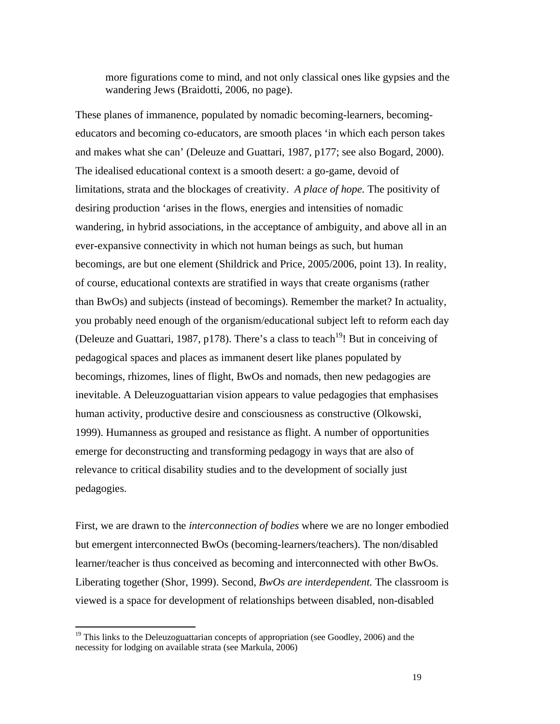more figurations come to mind, and not only classical ones like gypsies and the wandering Jews (Braidotti, 2006, no page).

These planes of immanence, populated by nomadic becoming-learners, becomingeducators and becoming co-educators, are smooth places 'in which each person takes and makes what she can' (Deleuze and Guattari, 1987, p177; see also Bogard, 2000). The idealised educational context is a smooth desert: a go-game, devoid of limitations, strata and the blockages of creativity. *A place of hope.* The positivity of desiring production 'arises in the flows, energies and intensities of nomadic wandering, in hybrid associations, in the acceptance of ambiguity, and above all in an ever-expansive connectivity in which not human beings as such, but human becomings, are but one element (Shildrick and Price, 2005/2006, point 13). In reality, of course, educational contexts are stratified in ways that create organisms (rather than BwOs) and subjects (instead of becomings). Remember the market? In actuality, you probably need enough of the organism/educational subject left to reform each day (Deleuze and Guattari, 1987, p178). There's a class to teach<sup>19</sup>! But in conceiving of pedagogical spaces and places as immanent desert like planes populated by becomings, rhizomes, lines of flight, BwOs and nomads, then new pedagogies are inevitable. A Deleuzoguattarian vision appears to value pedagogies that emphasises human activity, productive desire and consciousness as constructive (Olkowski, 1999). Humanness as grouped and resistance as flight. A number of opportunities emerge for deconstructing and transforming pedagogy in ways that are also of relevance to critical disability studies and to the development of socially just pedagogies.

First, we are drawn to the *interconnection of bodies* where we are no longer embodied but emergent interconnected BwOs (becoming-learners/teachers). The non/disabled learner/teacher is thus conceived as becoming and interconnected with other BwOs. Liberating together (Shor, 1999). Second, *BwOs are interdependent.* The classroom is viewed is a space for development of relationships between disabled, non-disabled

 $19$  This links to the Deleuzoguattarian concepts of appropriation (see Goodley, 2006) and the necessity for lodging on available strata (see Markula, 2006)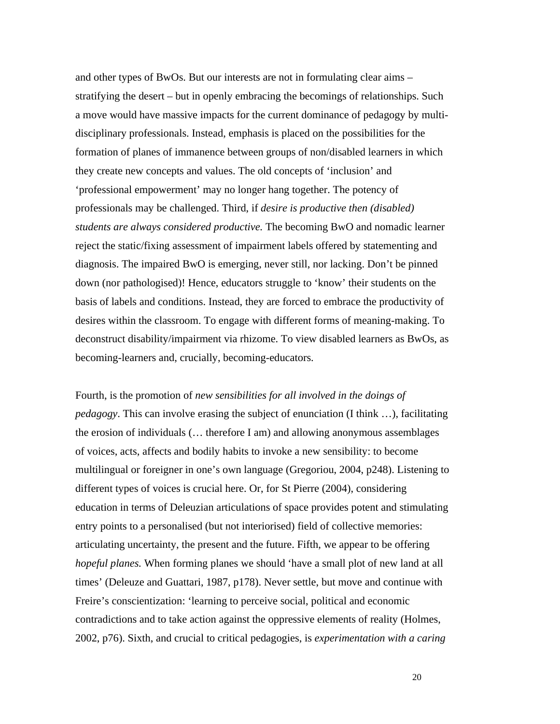and other types of BwOs. But our interests are not in formulating clear aims – stratifying the desert – but in openly embracing the becomings of relationships. Such a move would have massive impacts for the current dominance of pedagogy by multidisciplinary professionals. Instead, emphasis is placed on the possibilities for the formation of planes of immanence between groups of non/disabled learners in which they create new concepts and values. The old concepts of 'inclusion' and 'professional empowerment' may no longer hang together. The potency of professionals may be challenged. Third, if *desire is productive then (disabled) students are always considered productive.* The becoming BwO and nomadic learner reject the static/fixing assessment of impairment labels offered by statementing and diagnosis. The impaired BwO is emerging, never still, nor lacking. Don't be pinned down (nor pathologised)! Hence, educators struggle to 'know' their students on the basis of labels and conditions. Instead, they are forced to embrace the productivity of desires within the classroom. To engage with different forms of meaning-making. To deconstruct disability/impairment via rhizome. To view disabled learners as BwOs, as becoming-learners and, crucially, becoming-educators.

Fourth, is the promotion of *new sensibilities for all involved in the doings of pedagogy*. This can involve erasing the subject of enunciation (I think …), facilitating the erosion of individuals (… therefore I am) and allowing anonymous assemblages of voices, acts, affects and bodily habits to invoke a new sensibility: to become multilingual or foreigner in one's own language (Gregoriou, 2004, p248). Listening to different types of voices is crucial here. Or, for St Pierre (2004), considering education in terms of Deleuzian articulations of space provides potent and stimulating entry points to a personalised (but not interiorised) field of collective memories: articulating uncertainty, the present and the future. Fifth, we appear to be offering *hopeful planes.* When forming planes we should 'have a small plot of new land at all times' (Deleuze and Guattari, 1987, p178). Never settle, but move and continue with Freire's conscientization: 'learning to perceive social, political and economic contradictions and to take action against the oppressive elements of reality (Holmes, 2002, p76). Sixth, and crucial to critical pedagogies, is *experimentation with a caring*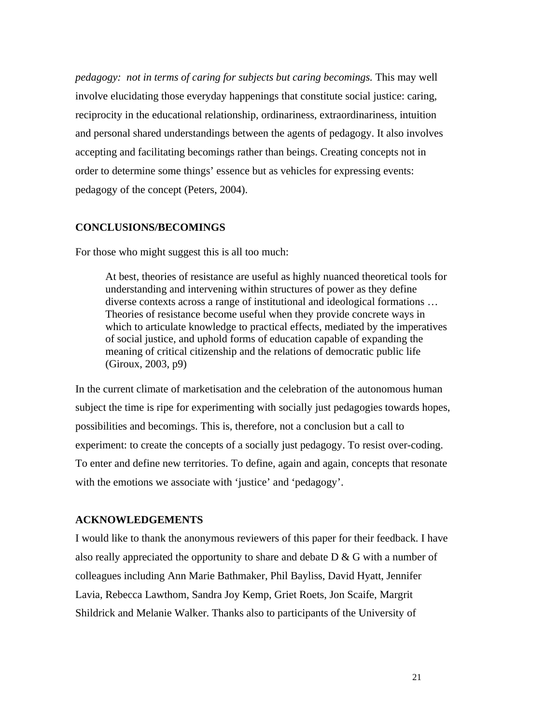*pedagogy: not in terms of caring for subjects but caring becomings.* This may well involve elucidating those everyday happenings that constitute social justice: caring, reciprocity in the educational relationship, ordinariness, extraordinariness, intuition and personal shared understandings between the agents of pedagogy. It also involves accepting and facilitating becomings rather than beings. Creating concepts not in order to determine some things' essence but as vehicles for expressing events: pedagogy of the concept (Peters, 2004).

### **CONCLUSIONS/BECOMINGS**

For those who might suggest this is all too much:

At best, theories of resistance are useful as highly nuanced theoretical tools for understanding and intervening within structures of power as they define diverse contexts across a range of institutional and ideological formations … Theories of resistance become useful when they provide concrete ways in which to articulate knowledge to practical effects, mediated by the imperatives of social justice, and uphold forms of education capable of expanding the meaning of critical citizenship and the relations of democratic public life (Giroux, 2003, p9)

In the current climate of marketisation and the celebration of the autonomous human subject the time is ripe for experimenting with socially just pedagogies towards hopes, possibilities and becomings. This is, therefore, not a conclusion but a call to experiment: to create the concepts of a socially just pedagogy. To resist over-coding. To enter and define new territories. To define, again and again, concepts that resonate with the emotions we associate with 'justice' and 'pedagogy'.

### **ACKNOWLEDGEMENTS**

I would like to thank the anonymous reviewers of this paper for their feedback. I have also really appreciated the opportunity to share and debate D & G with a number of colleagues including Ann Marie Bathmaker, Phil Bayliss, David Hyatt, Jennifer Lavia, Rebecca Lawthom, Sandra Joy Kemp, Griet Roets, Jon Scaife, Margrit Shildrick and Melanie Walker. Thanks also to participants of the University of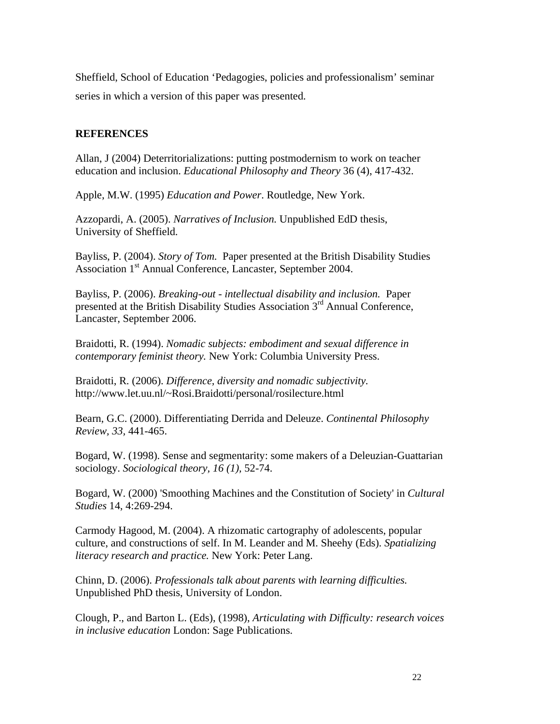Sheffield, School of Education 'Pedagogies, policies and professionalism' seminar series in which a version of this paper was presented.

### **REFERENCES**

Allan, J (2004) Deterritorializations: putting postmodernism to work on teacher education and inclusion. *Educational Philosophy and Theory* 36 (4), 417-432.

Apple, M.W. (1995) *Education and Power*. Routledge, New York.

Azzopardi, A. (2005). *Narratives of Inclusion.* Unpublished EdD thesis, University of Sheffield.

Bayliss, P. (2004). *Story of Tom.* Paper presented at the British Disability Studies Association 1<sup>st</sup> Annual Conference, Lancaster, September 2004.

Bayliss, P. (2006). *Breaking-out - intellectual disability and inclusion.* Paper presented at the British Disability Studies Association  $3<sup>rd</sup>$  Annual Conference, Lancaster, September 2006.

Braidotti, R. (1994). *Nomadic subjects: embodiment and sexual difference in contemporary feminist theory.* New York: Columbia University Press.

Braidotti, R. (2006). *Difference, diversity and nomadic subjectivity.* http://www.let.uu.nl/~Rosi.Braidotti/personal/rosilecture.html

Bearn, G.C. (2000). Differentiating Derrida and Deleuze. *Continental Philosophy Review, 33,* 441-465.

Bogard, W. (1998). Sense and segmentarity: some makers of a Deleuzian-Guattarian sociology. *Sociological theory, 16 (1),* 52-74.

Bogard, W. (2000) 'Smoothing Machines and the Constitution of Society' in *Cultural Studies* 14, 4:269-294.

Carmody Hagood, M. (2004). A rhizomatic cartography of adolescents, popular culture, and constructions of self. In M. Leander and M. Sheehy (Eds). *Spatializing literacy research and practice.* New York: Peter Lang.

Chinn, D. (2006). *Professionals talk about parents with learning difficulties.*  Unpublished PhD thesis, University of London.

Clough, P., and Barton L. (Eds), (1998), *Articulating with Difficulty: research voices in inclusive education* London: Sage Publications.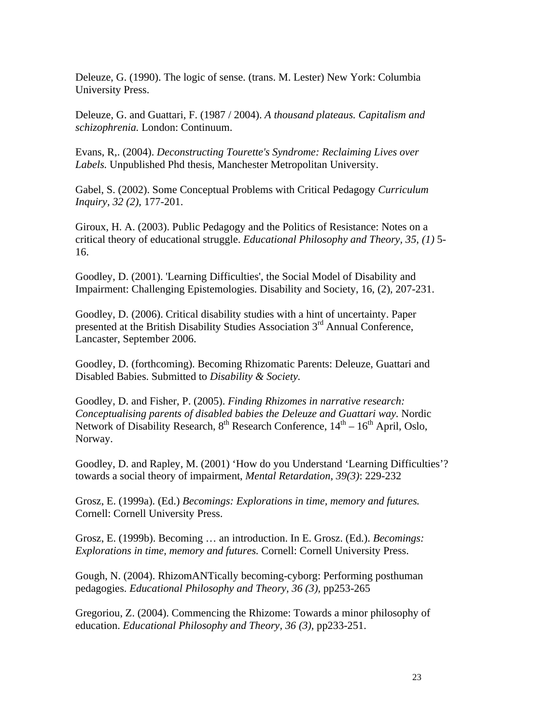Deleuze, G. (1990). The logic of sense. (trans. M. Lester) New York: Columbia University Press.

Deleuze, G. and Guattari, F. (1987 / 2004). *A thousand plateaus. Capitalism and schizophrenia.* London: Continuum.

Evans, R,. (2004). *Deconstructing Tourette's Syndrome: Reclaiming Lives over Labels.* Unpublished Phd thesis, Manchester Metropolitan University.

Gabel, S. (2002). Some Conceptual Problems with Critical Pedagogy *Curriculum Inquiry, 32 (2),* 177-201.

Giroux, H. A. (2003). Public Pedagogy and the Politics of Resistance: Notes on a critical theory of educational struggle. *Educational Philosophy and Theory, 35, (1)* 5- 16.

Goodley, D. (2001). 'Learning Difficulties', the Social Model of Disability and Impairment: Challenging Epistemologies. Disability and Society, 16, (2), 207-231.

Goodley, D. (2006). Critical disability studies with a hint of uncertainty. Paper presented at the British Disability Studies Association 3<sup>rd</sup> Annual Conference, Lancaster, September 2006.

Goodley, D. (forthcoming). Becoming Rhizomatic Parents: Deleuze, Guattari and Disabled Babies. Submitted to *Disability & Society.* 

Goodley, D. and Fisher, P. (2005). *Finding Rhizomes in narrative research: Conceptualising parents of disabled babies the Deleuze and Guattari way.* Nordic Network of Disability Research,  $8^{th}$  Research Conference,  $14^{th} - 16^{th}$  April, Oslo, Norway.

Goodley, D. and Rapley, M. (2001) 'How do you Understand 'Learning Difficulties'? towards a social theory of impairment, *Mental Retardation, 39(3)*: 229-232

Grosz, E. (1999a). (Ed.) *Becomings: Explorations in time, memory and futures.*  Cornell: Cornell University Press.

Grosz, E. (1999b). Becoming … an introduction. In E. Grosz. (Ed.). *Becomings: Explorations in time, memory and futures.* Cornell: Cornell University Press.

Gough, N. (2004). RhizomANTically becoming-cyborg: Performing posthuman pedagogies. *Educational Philosophy and Theory, 36 (3),* pp253-265

Gregoriou, Z. (2004). Commencing the Rhizome: Towards a minor philosophy of education. *Educational Philosophy and Theory, 36 (3),* pp233-251.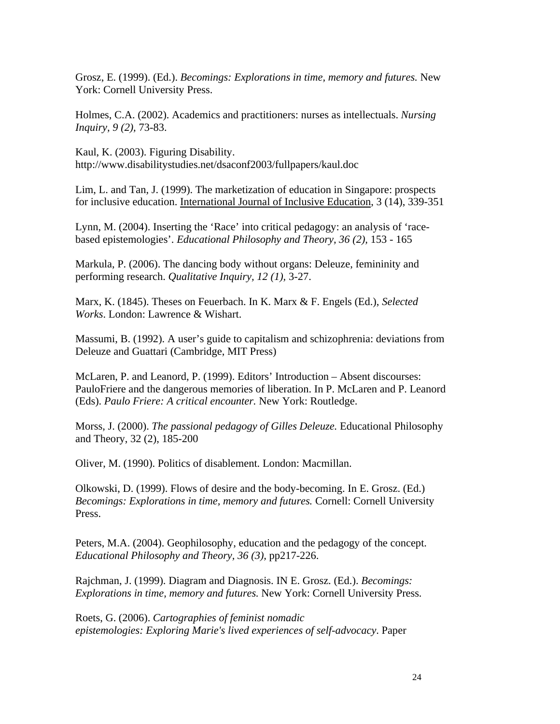Grosz, E. (1999). (Ed.). *Becomings: Explorations in time, memory and futures.* New York: Cornell University Press.

Holmes, C.A. (2002). Academics and practitioners: nurses as intellectuals. *Nursing Inquiry, 9 (2),* 73-83.

Kaul, K. (2003). Figuring Disability. http://www.disabilitystudies.net/dsaconf2003/fullpapers/kaul.doc

Lim, L. and Tan, J. (1999). The marketization of education in Singapore: prospects for inclusive education. International Journal of Inclusive Education, 3 (14), 339-351

Lynn, M. (2004). Inserting the 'Race' into critical pedagogy: an analysis of 'racebased epistemologies'. *Educational Philosophy and Theory, 36 (2),* 153 - 165

Markula, P. (2006). The dancing body without organs: Deleuze, femininity and performing research. *Qualitative Inquiry, 12 (1),* 3-27.

Marx, K. (1845). Theses on Feuerbach. In K. Marx & F. Engels (Ed.), *Selected Works*. London: Lawrence & Wishart.

Massumi, B. (1992). A user's guide to capitalism and schizophrenia: deviations from Deleuze and Guattari (Cambridge, MIT Press)

McLaren, P. and Leanord, P. (1999). Editors' Introduction – Absent discourses: PauloFriere and the dangerous memories of liberation. In P. McLaren and P. Leanord (Eds). *Paulo Friere: A critical encounter.* New York: Routledge.

Morss, J. (2000). *The passional pedagogy of Gilles Deleuze.* Educational Philosophy and Theory, 32 (2), 185-200

Oliver, M. (1990). Politics of disablement. London: Macmillan.

Olkowski, D. (1999). Flows of desire and the body-becoming. In E. Grosz. (Ed.) *Becomings: Explorations in time, memory and futures.* Cornell: Cornell University Press.

Peters, M.A. (2004). Geophilosophy, education and the pedagogy of the concept. *Educational Philosophy and Theory, 36 (3),* pp217-226.

Rajchman, J. (1999). Diagram and Diagnosis. IN E. Grosz. (Ed.). *Becomings: Explorations in time, memory and futures.* New York: Cornell University Press.

Roets, G. (2006). *Cartographies of feminist nomadic epistemologies: Exploring Marie's lived experiences of self-advocacy*. Paper